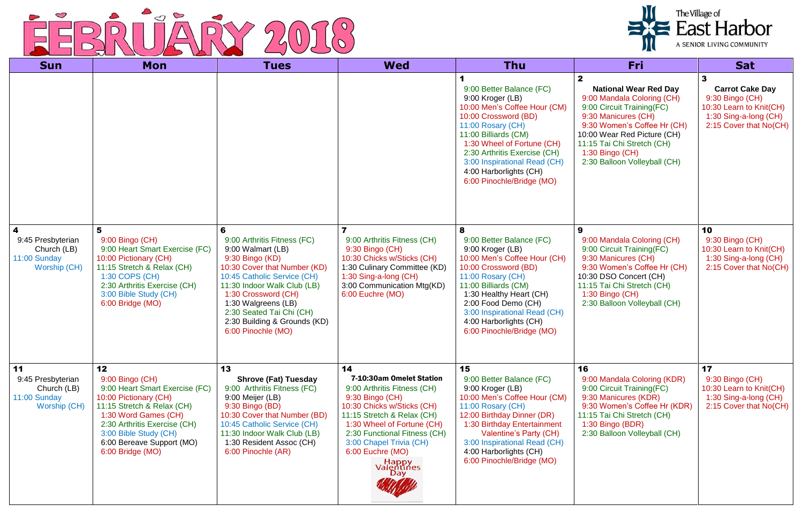

| <b>Sun</b>                                                                           | <b>Mon</b>                                                                                                                                                                                                                                       | <b>Tues</b>                                                                                                                                                                                                                                                                                            | <b>Wed</b>                                                                                                                                                                                                                                                                                     | Thu                                                                                                                                                                                                                                                                                                    | <b>Fri</b>                                                                                                                                                                                                                                                                   | <b>Sat</b>                                                                                                                   |
|--------------------------------------------------------------------------------------|--------------------------------------------------------------------------------------------------------------------------------------------------------------------------------------------------------------------------------------------------|--------------------------------------------------------------------------------------------------------------------------------------------------------------------------------------------------------------------------------------------------------------------------------------------------------|------------------------------------------------------------------------------------------------------------------------------------------------------------------------------------------------------------------------------------------------------------------------------------------------|--------------------------------------------------------------------------------------------------------------------------------------------------------------------------------------------------------------------------------------------------------------------------------------------------------|------------------------------------------------------------------------------------------------------------------------------------------------------------------------------------------------------------------------------------------------------------------------------|------------------------------------------------------------------------------------------------------------------------------|
|                                                                                      |                                                                                                                                                                                                                                                  |                                                                                                                                                                                                                                                                                                        |                                                                                                                                                                                                                                                                                                | 9:00 Better Balance (FC)<br>9:00 Kroger (LB)<br>10:00 Men's Coffee Hour (CM)<br>10:00 Crossword (BD)<br>11:00 Rosary (CH)<br>11:00 Billiards (CM)<br>1:30 Wheel of Fortune (CH)<br>2:30 Arthritis Exercise (CH)<br>3:00 Inspirational Read (CH)<br>4:00 Harborlights (CH)<br>6:00 Pinochle/Bridge (MO) | $\mathbf 2$<br><b>National Wear Red Day</b><br>9:00 Mandala Coloring (CH)<br>9:00 Circuit Training(FC)<br>9:30 Manicures (CH)<br>9:30 Women's Coffee Hr (CH)<br>10:00 Wear Red Picture (CH)<br>11:15 Tai Chi Stretch (CH)<br>1:30 Bingo (CH)<br>2:30 Balloon Volleyball (CH) | 3<br><b>Carrot Cake Day</b><br>9:30 Bingo (CH)<br>10:30 Learn to Knit(CH)<br>1:30 Sing-a-long (CH)<br>2:15 Cover that No(CH) |
| $\boldsymbol{4}$<br>9:45 Presbyterian<br>Church (LB)<br>11:00 Sunday<br>Worship (CH) | 5<br>9:00 Bingo (CH)<br>9:00 Heart Smart Exercise (FC)<br>10:00 Pictionary (CH)<br>11:15 Stretch & Relax (CH)<br>1:30 COPS (CH)<br>2:30 Arthritis Exercise (CH)<br>3:00 Bible Study (CH)<br>6:00 Bridge (MO)                                     | 6<br>9:00 Arthritis Fitness (FC)<br>9:00 Walmart (LB)<br>9:30 Bingo (KD)<br>10:30 Cover that Number (KD)<br>10:45 Catholic Service (CH)<br>11:30 Indoor Walk Club (LB)<br>1:30 Crossword (CH)<br>1:30 Walgreens (LB)<br>2:30 Seated Tai Chi (CH)<br>2:30 Building & Grounds (KD)<br>6:00 Pinochle (MO) | 9:00 Arthritis Fitness (CH)<br>9:30 Bingo (CH)<br>10:30 Chicks w/Sticks (CH)<br>1:30 Culinary Committee (KD)<br>1:30 Sing-a-long (CH)<br>3:00 Communication Mtg(KD)<br>6:00 Euchre (MO)                                                                                                        | 8<br>9:00 Better Balance (FC)<br>9:00 Kroger (LB)<br>10:00 Men's Coffee Hour (CH)<br>10:00 Crossword (BD)<br>11:00 Rosary (CH)<br>11:00 Billiards (CM)<br>1:30 Healthy Heart (CH)<br>2:00 Food Demo (CH)<br>3:00 Inspirational Read (CH)<br>4:00 Harborlights (CH)<br>6:00 Pinochle/Bridge (MO)        | 9<br>9:00 Mandala Coloring (CH)<br>9:00 Circuit Training(FC)<br>9:30 Manicures (CH)<br>9:30 Women's Coffee Hr (CH)<br>10:30 DSO Concert (CH)<br>11:15 Tai Chi Stretch (CH)<br>$1:30$ Bingo (CH)<br>2:30 Balloon Volleyball (CH)                                              | 10<br>9:30 Bingo (CH)<br>10:30 Learn to Knit(CH)<br>1:30 Sing-a-long (CH)<br>2:15 Cover that No(CH)                          |
| 11<br>9:45 Presbyterian<br>Church (LB)<br>11:00 Sunday<br>Worship (CH)               | 12<br>9:00 Bingo (CH)<br>9:00 Heart Smart Exercise (FC)<br>10:00 Pictionary (CH)<br>11:15 Stretch & Relax (CH)<br>1:30 Word Games (CH)<br>2:30 Arthritis Exercise (CH)<br>3:00 Bible Study (CH)<br>6:00 Bereave Support (MO)<br>6:00 Bridge (MO) | 13<br><b>Shrove (Fat) Tuesday</b><br>9:00 Arthritis Fitness (FC)<br>9:00 Meijer (LB)<br>9:30 Bingo (BD)<br>10:30 Cover that Number (BD)<br>10:45 Catholic Service (CH)<br>11:30 Indoor Walk Club (LB)<br>1:30 Resident Assoc (CH)<br>6:00 Pinochle (AR)                                                | 14<br>7-10:30am Omelet Station<br>9:00 Arthritis Fitness (CH)<br>9:30 Bingo (CH)<br>10:30 Chicks w/Sticks (CH)<br>11:15 Stretch & Relax (CH)<br>1:30 Wheel of Fortune (CH)<br>2:30 Functional Fitness (CH)<br>3:00 Chapel Trivia (CH)<br>6:00 Euchre (MO)<br><b>Happy</b><br>Valentines<br>Day | 15<br>9:00 Better Balance (FC)<br>9:00 Kroger (LB)<br>10:00 Men's Coffee Hour (CM)<br>11:00 Rosary (CH)<br>12:00 Birthday Dinner (DR)<br>1:30 Birthday Entertainment<br>Valentine's Party (CH)<br>3:00 Inspirational Read (CH)<br>4:00 Harborlights (CH)<br>6:00 Pinochle/Bridge (MO)                  | 16<br>9:00 Mandala Coloring (KDR)<br>9:00 Circuit Training(FC)<br>9:30 Manicures (KDR)<br>9:30 Women's Coffee Hr (KDR)<br>11:15 Tai Chi Stretch (CH)<br>1:30 Bingo (BDR)<br>2:30 Balloon Volleyball (CH)                                                                     | 17<br>9:30 Bingo (CH)<br>10:30 Learn to Knit(CH)<br>1:30 Sing-a-long (CH)<br>2:15 Cover that No(CH)                          |

| The Village of<br>East Harbor<br>A SENIOR LIVING COMMUNITY |
|------------------------------------------------------------|
|                                                            |